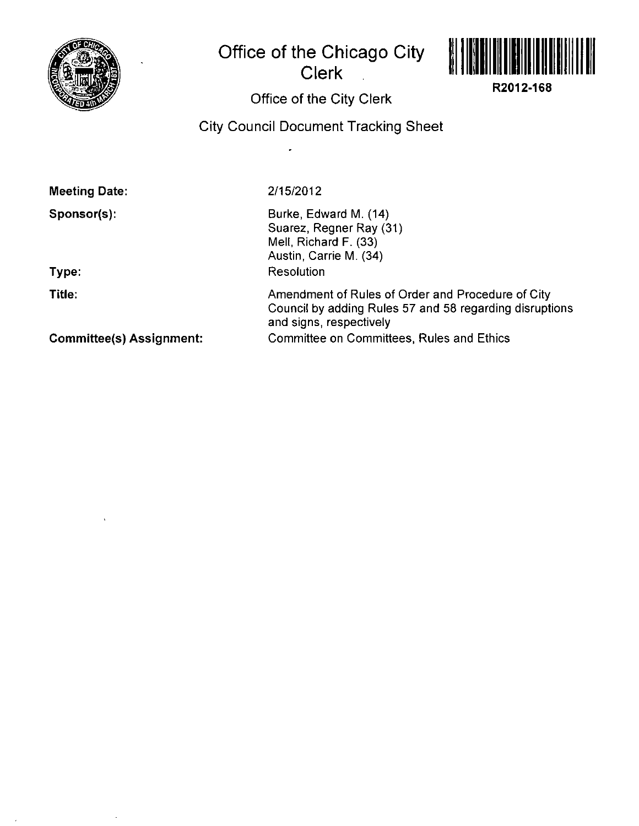

# **Office of the Chicago City Clerk**



**R2012-168** 

# **Office of the City Clerk**

## **City Council Document Tracking Sheet**

| <b>Meeting Date:</b> |  |
|----------------------|--|
|----------------------|--|

**Sponsor(s):** 

**Type:** 

**Title:** 

2/15/2012

Burke, Edward M. (14) Suarez, Regner Ray (31) Mell, Richard F. (33) Austin, Carrie M. (34) Resolution

Amendment of Rules of Order and Procedure of City Council by adding Rules 57 and 58 regarding disruptions and signs, respectively Committee on Committees, Rules and Ethics

**Committee(s) Assignment:**